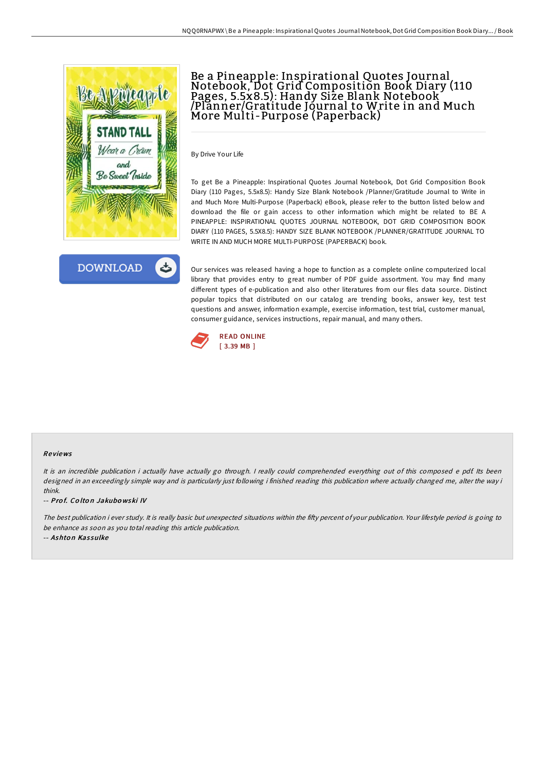



# Be a Pineapple: Inspirational Quotes Journal Notebook, Dot Grid Composition Book Diary (110 Pages, 5.5x8.5): Handy Size Blank Notebook /Planner/Gratitude Journal to Write in and Much More Multi-Purpose (Paperback)

By Drive Your Life

To get Be a Pineapple: Inspirational Quotes Journal Notebook, Dot Grid Composition Book Diary (110 Pages, 5.5x8.5): Handy Size Blank Notebook /Planner/Gratitude Journal to Write in and Much More Multi-Purpose (Paperback) eBook, please refer to the button listed below and download the file or gain access to other information which might be related to BE A PINEAPPLE: INSPIRATIONAL QUOTES JOURNAL NOTEBOOK, DOT GRID COMPOSITION BOOK DIARY (110 PAGES, 5.5X8.5): HANDY SIZE BLANK NOTEBOOK /PLANNER/GRATITUDE JOURNAL TO WRITE IN AND MUCH MORE MULTI-PURPOSE (PAPERBACK) book.

Our services was released having a hope to function as a complete online computerized local library that provides entry to great number of PDF guide assortment. You may find many different types of e-publication and also other literatures from our files data source. Distinct popular topics that distributed on our catalog are trending books, answer key, test test questions and answer, information example, exercise information, test trial, customer manual, consumer guidance, services instructions, repair manual, and many others.



#### Re views

It is an incredible publication i actually have actually go through. <sup>I</sup> really could comprehended everything out of this composed <sup>e</sup> pdf. Its been designed in an exceedingly simple way and is particularly just following i finished reading this publication where actually changed me, alter the way i think.

-- Prof. Colton Jakubowski IV

The best publication i ever study. It is really basic but unexpected situations within the fifty percent of your publication. Your lifestyle period is going to be enhance as soon as you total reading this article publication.

-- Ashton Kassulke